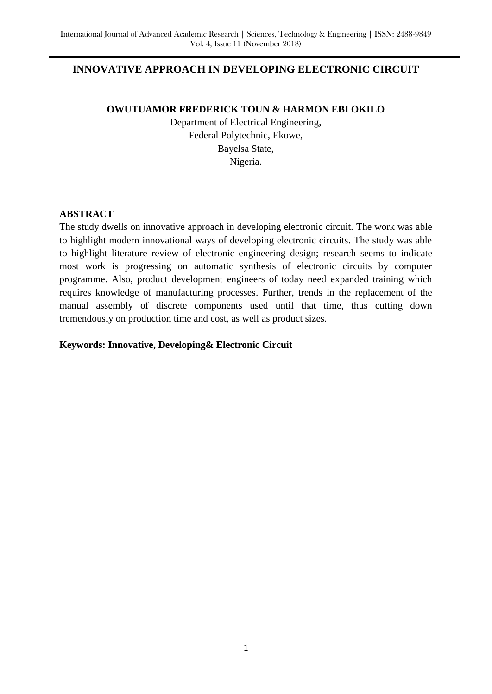# **INNOVATIVE APPROACH IN DEVELOPING ELECTRONIC CIRCUIT**

### **OWUTUAMOR FREDERICK TOUN & HARMON EBI OKILO**

Department of Electrical Engineering, Federal Polytechnic, Ekowe, Bayelsa State, Nigeria.

## **ABSTRACT**

The study dwells on innovative approach in developing electronic circuit. The work was able to highlight modern innovational ways of developing electronic circuits. The study was able to highlight literature review of electronic engineering design; research seems to indicate most work is progressing on automatic synthesis of electronic circuits by computer programme. Also, product development engineers of today need expanded training which requires knowledge of manufacturing processes. Further, trends in the replacement of the manual assembly of discrete components used until that time, thus cutting down tremendously on production time and cost, as well as product sizes.

### **Keywords: Innovative, Developing& Electronic Circuit**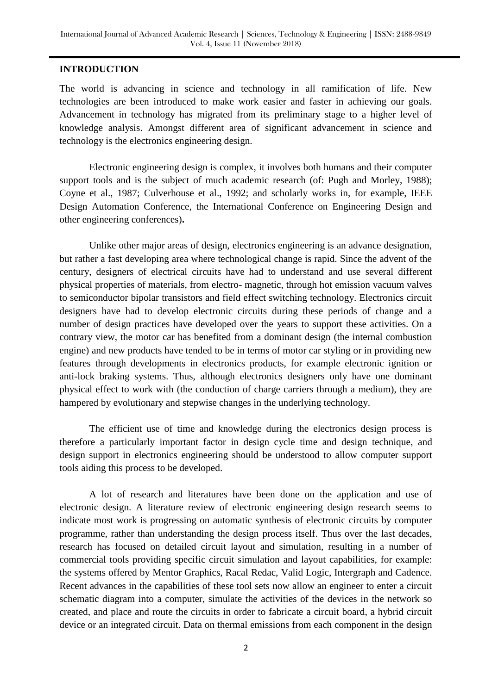### **INTRODUCTION**

The world is advancing in science and technology in all ramification of life. New technologies are been introduced to make work easier and faster in achieving our goals. Advancement in technology has migrated from its preliminary stage to a higher level of knowledge analysis. Amongst different area of significant advancement in science and technology is the electronics engineering design.

Electronic engineering design is complex, it involves both humans and their computer support tools and is the subject of much academic research (of: Pugh and Morley, 1988); Coyne et al., 1987; Culverhouse et al., 1992; and scholarly works in, for example, IEEE Design Automation Conference, the International Conference on Engineering Design and other engineering conferences)**.**

Unlike other major areas of design, electronics engineering is an advance designation, but rather a fast developing area where technological change is rapid. Since the advent of the century, designers of electrical circuits have had to understand and use several different physical properties of materials, from electro- magnetic, through hot emission vacuum valves to semiconductor bipolar transistors and field effect switching technology. Electronics circuit designers have had to develop electronic circuits during these periods of change and a number of design practices have developed over the years to support these activities. On a contrary view, the motor car has benefited from a dominant design (the internal combustion engine) and new products have tended to be in terms of motor car styling or in providing new features through developments in electronics products, for example electronic ignition or anti-lock braking systems. Thus, although electronics designers only have one dominant physical effect to work with (the conduction of charge carriers through a medium), they are hampered by evolutionary and stepwise changes in the underlying technology.

The efficient use of time and knowledge during the electronics design process is therefore a particularly important factor in design cycle time and design technique, and design support in electronics engineering should be understood to allow computer support tools aiding this process to be developed.

A lot of research and literatures have been done on the application and use of electronic design. A literature review of electronic engineering design research seems to indicate most work is progressing on automatic synthesis of electronic circuits by computer programme, rather than understanding the design process itself. Thus over the last decades, research has focused on detailed circuit layout and simulation, resulting in a number of commercial tools providing specific circuit simulation and layout capabilities, for example: the systems offered by Mentor Graphics, Racal Redac, Valid Logic, Intergraph and Cadence. Recent advances in the capabilities of these tool sets now allow an engineer to enter a circuit schematic diagram into a computer, simulate the activities of the devices in the network so created, and place and route the circuits in order to fabricate a circuit board, a hybrid circuit device or an integrated circuit. Data on thermal emissions from each component in the design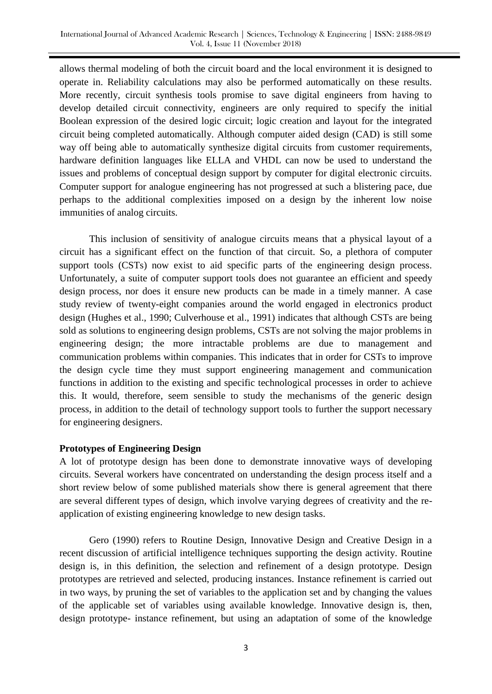allows thermal modeling of both the circuit board and the local environment it is designed to operate in. Reliability calculations may also be performed automatically on these results. More recently, circuit synthesis tools promise to save digital engineers from having to develop detailed circuit connectivity, engineers are only required to specify the initial Boolean expression of the desired logic circuit; logic creation and layout for the integrated circuit being completed automatically. Although computer aided design (CAD) is still some way off being able to automatically synthesize digital circuits from customer requirements, hardware definition languages like ELLA and VHDL can now be used to understand the issues and problems of conceptual design support by computer for digital electronic circuits. Computer support for analogue engineering has not progressed at such a blistering pace, due perhaps to the additional complexities imposed on a design by the inherent low noise immunities of analog circuits.

This inclusion of sensitivity of analogue circuits means that a physical layout of a circuit has a significant effect on the function of that circuit. So, a plethora of computer support tools (CSTs) now exist to aid specific parts of the engineering design process. Unfortunately, a suite of computer support tools does not guarantee an efficient and speedy design process, nor does it ensure new products can be made in a timely manner. A case study review of twenty-eight companies around the world engaged in electronics product design (Hughes et al., 1990; Culverhouse et al., 1991) indicates that although CSTs are being sold as solutions to engineering design problems, CSTs are not solving the major problems in engineering design; the more intractable problems are due to management and communication problems within companies. This indicates that in order for CSTs to improve the design cycle time they must support engineering management and communication functions in addition to the existing and specific technological processes in order to achieve this. It would, therefore, seem sensible to study the mechanisms of the generic design process, in addition to the detail of technology support tools to further the support necessary for engineering designers.

#### **Prototypes of Engineering Design**

A lot of prototype design has been done to demonstrate innovative ways of developing circuits. Several workers have concentrated on understanding the design process itself and a short review below of some published materials show there is general agreement that there are several different types of design, which involve varying degrees of creativity and the reapplication of existing engineering knowledge to new design tasks.

Gero (1990) refers to Routine Design, Innovative Design and Creative Design in a recent discussion of artificial intelligence techniques supporting the design activity. Routine design is, in this definition, the selection and refinement of a design prototype. Design prototypes are retrieved and selected, producing instances. Instance refinement is carried out in two ways, by pruning the set of variables to the application set and by changing the values of the applicable set of variables using available knowledge. Innovative design is, then, design prototype- instance refinement, but using an adaptation of some of the knowledge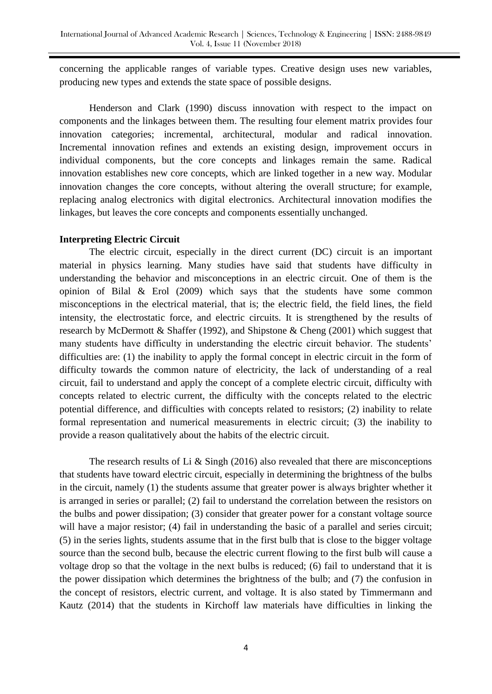concerning the applicable ranges of variable types. Creative design uses new variables, producing new types and extends the state space of possible designs.

Henderson and Clark (1990) discuss innovation with respect to the impact on components and the linkages between them. The resulting four element matrix provides four innovation categories; incremental, architectural, modular and radical innovation. Incremental innovation refines and extends an existing design, improvement occurs in individual components, but the core concepts and linkages remain the same. Radical innovation establishes new core concepts, which are linked together in a new way. Modular innovation changes the core concepts, without altering the overall structure; for example, replacing analog electronics with digital electronics. Architectural innovation modifies the linkages, but leaves the core concepts and components essentially unchanged.

#### **Interpreting Electric Circuit**

The electric circuit, especially in the direct current (DC) circuit is an important material in physics learning. Many studies have said that students have difficulty in understanding the behavior and misconceptions in an electric circuit. One of them is the opinion of Bilal & Erol (2009) which says that the students have some common misconceptions in the electrical material, that is; the electric field, the field lines, the field intensity, the electrostatic force, and electric circuits. It is strengthened by the results of research by McDermott & Shaffer (1992), and Shipstone & Cheng (2001) which suggest that many students have difficulty in understanding the electric circuit behavior. The students' difficulties are: (1) the inability to apply the formal concept in electric circuit in the form of difficulty towards the common nature of electricity, the lack of understanding of a real circuit, fail to understand and apply the concept of a complete electric circuit, difficulty with concepts related to electric current, the difficulty with the concepts related to the electric potential difference, and difficulties with concepts related to resistors; (2) inability to relate formal representation and numerical measurements in electric circuit; (3) the inability to provide a reason qualitatively about the habits of the electric circuit.

The research results of Li  $&$  Singh (2016) also revealed that there are misconceptions that students have toward electric circuit, especially in determining the brightness of the bulbs in the circuit, namely (1) the students assume that greater power is always brighter whether it is arranged in series or parallel; (2) fail to understand the correlation between the resistors on the bulbs and power dissipation; (3) consider that greater power for a constant voltage source will have a major resistor; (4) fail in understanding the basic of a parallel and series circuit; (5) in the series lights, students assume that in the first bulb that is close to the bigger voltage source than the second bulb, because the electric current flowing to the first bulb will cause a voltage drop so that the voltage in the next bulbs is reduced; (6) fail to understand that it is the power dissipation which determines the brightness of the bulb; and (7) the confusion in the concept of resistors, electric current, and voltage. It is also stated by Timmermann and Kautz (2014) that the students in Kirchoff law materials have difficulties in linking the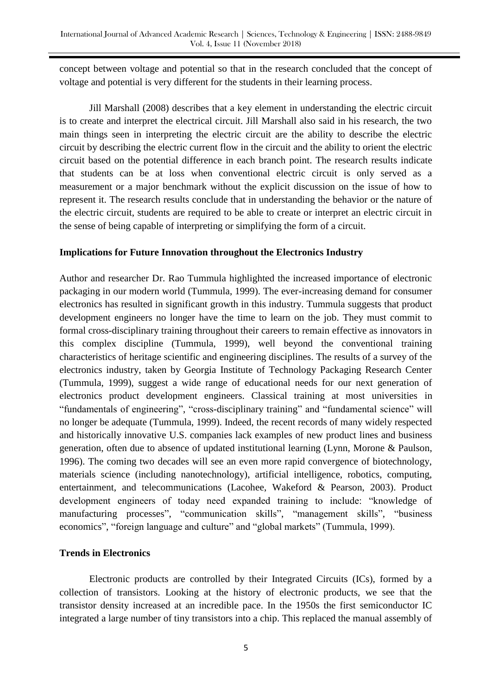concept between voltage and potential so that in the research concluded that the concept of voltage and potential is very different for the students in their learning process.

Jill Marshall (2008) describes that a key element in understanding the electric circuit is to create and interpret the electrical circuit. Jill Marshall also said in his research, the two main things seen in interpreting the electric circuit are the ability to describe the electric circuit by describing the electric current flow in the circuit and the ability to orient the electric circuit based on the potential difference in each branch point. The research results indicate that students can be at loss when conventional electric circuit is only served as a measurement or a major benchmark without the explicit discussion on the issue of how to represent it. The research results conclude that in understanding the behavior or the nature of the electric circuit, students are required to be able to create or interpret an electric circuit in the sense of being capable of interpreting or simplifying the form of a circuit.

#### **Implications for Future Innovation throughout the Electronics Industry**

Author and researcher Dr. Rao Tummula highlighted the increased importance of electronic packaging in our modern world (Tummula, 1999). The ever-increasing demand for consumer electronics has resulted in significant growth in this industry. Tummula suggests that product development engineers no longer have the time to learn on the job. They must commit to formal cross-disciplinary training throughout their careers to remain effective as innovators in this complex discipline (Tummula, 1999), well beyond the conventional training characteristics of heritage scientific and engineering disciplines. The results of a survey of the electronics industry, taken by Georgia Institute of Technology Packaging Research Center (Tummula, 1999), suggest a wide range of educational needs for our next generation of electronics product development engineers. Classical training at most universities in "fundamentals of engineering", "cross-disciplinary training" and "fundamental science" will no longer be adequate (Tummula, 1999). Indeed, the recent records of many widely respected and historically innovative U.S. companies lack examples of new product lines and business generation, often due to absence of updated institutional learning (Lynn, Morone & Paulson, 1996). The coming two decades will see an even more rapid convergence of biotechnology, materials science (including nanotechnology), artificial intelligence, robotics, computing, entertainment, and telecommunications (Lacohee, Wakeford & Pearson, 2003). Product development engineers of today need expanded training to include: "knowledge of manufacturing processes", "communication skills", "management skills", "business economics", "foreign language and culture" and "global markets" (Tummula, 1999).

### **Trends in Electronics**

Electronic products are controlled by their Integrated Circuits (ICs), formed by a collection of transistors. Looking at the history of electronic products, we see that the transistor density increased at an incredible pace. In the 1950s the first semiconductor IC integrated a large number of tiny transistors into a chip. This replaced the manual assembly of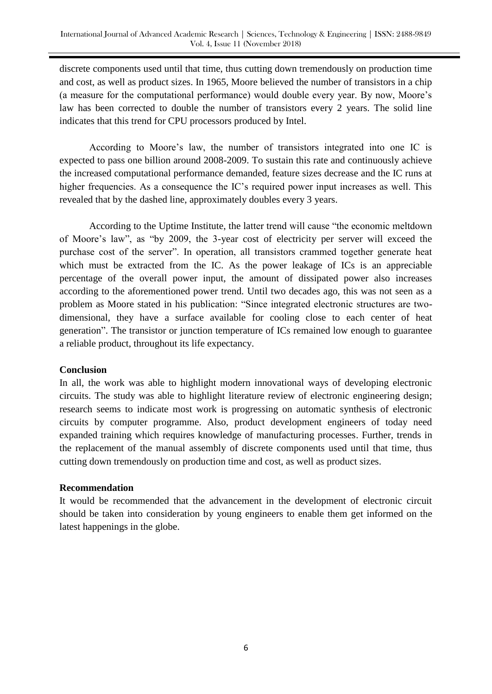discrete components used until that time, thus cutting down tremendously on production time and cost, as well as product sizes. In 1965, Moore believed the number of transistors in a chip (a measure for the computational performance) would double every year. By now, Moore"s law has been corrected to double the number of transistors every 2 years. The solid line indicates that this trend for CPU processors produced by Intel.

According to Moore's law, the number of transistors integrated into one IC is expected to pass one billion around 2008-2009. To sustain this rate and continuously achieve the increased computational performance demanded, feature sizes decrease and the IC runs at higher frequencies. As a consequence the IC's required power input increases as well. This revealed that by the dashed line, approximately doubles every 3 years.

According to the Uptime Institute, the latter trend will cause "the economic meltdown of Moore"s law", as "by 2009, the 3-year cost of electricity per server will exceed the purchase cost of the server". In operation, all transistors crammed together generate heat which must be extracted from the IC. As the power leakage of ICs is an appreciable percentage of the overall power input, the amount of dissipated power also increases according to the aforementioned power trend. Until two decades ago, this was not seen as a problem as Moore stated in his publication: "Since integrated electronic structures are twodimensional, they have a surface available for cooling close to each center of heat generation". The transistor or junction temperature of ICs remained low enough to guarantee a reliable product, throughout its life expectancy.

### **Conclusion**

In all, the work was able to highlight modern innovational ways of developing electronic circuits. The study was able to highlight literature review of electronic engineering design; research seems to indicate most work is progressing on automatic synthesis of electronic circuits by computer programme. Also, product development engineers of today need expanded training which requires knowledge of manufacturing processes. Further, trends in the replacement of the manual assembly of discrete components used until that time, thus cutting down tremendously on production time and cost, as well as product sizes.

### **Recommendation**

It would be recommended that the advancement in the development of electronic circuit should be taken into consideration by young engineers to enable them get informed on the latest happenings in the globe.